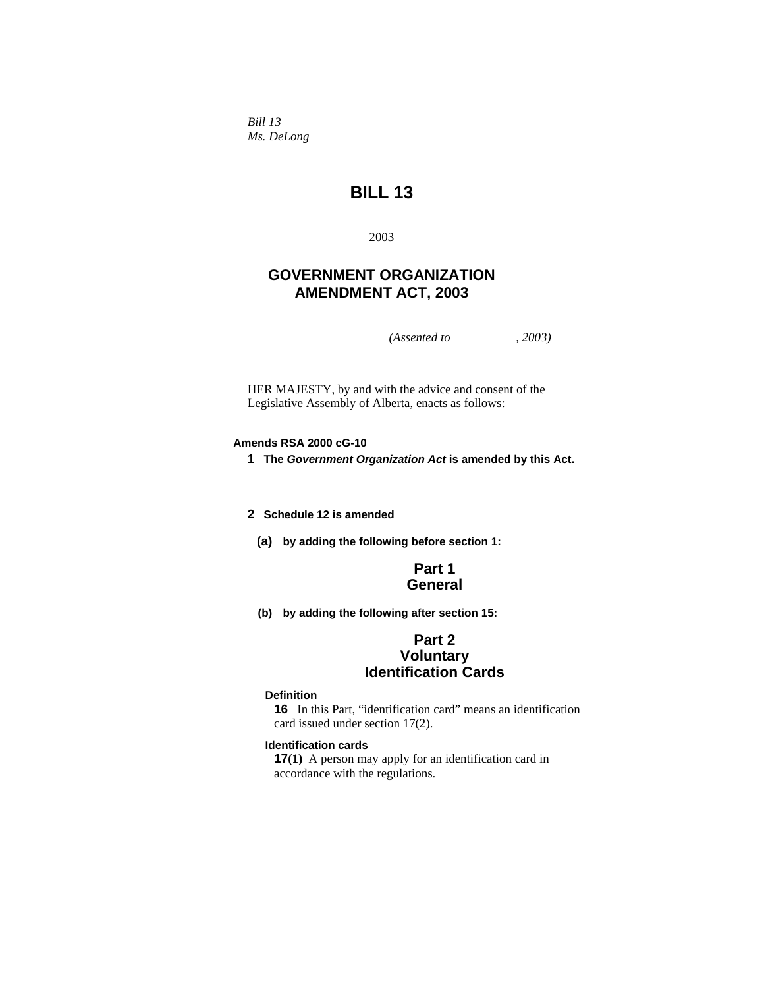*Bill 13 Ms. DeLong* 

# **BILL 13**

2003

# **GOVERNMENT ORGANIZATION AMENDMENT ACT, 2003**

*(Assented to , 2003)* 

HER MAJESTY, by and with the advice and consent of the Legislative Assembly of Alberta, enacts as follows:

### **Amends RSA 2000 cG-10**

**1 The** *Government Organization Act* **is amended by this Act.** 

**2 Schedule 12 is amended** 

**(a) by adding the following before section 1:**

## **Part 1 General**

**(b) by adding the following after section 15:** 

## **Part 2 Voluntary Identification Cards**

### **Definition**

**16** In this Part, "identification card" means an identification card issued under section 17(2).

#### **Identification cards**

**17(1)** A person may apply for an identification card in accordance with the regulations.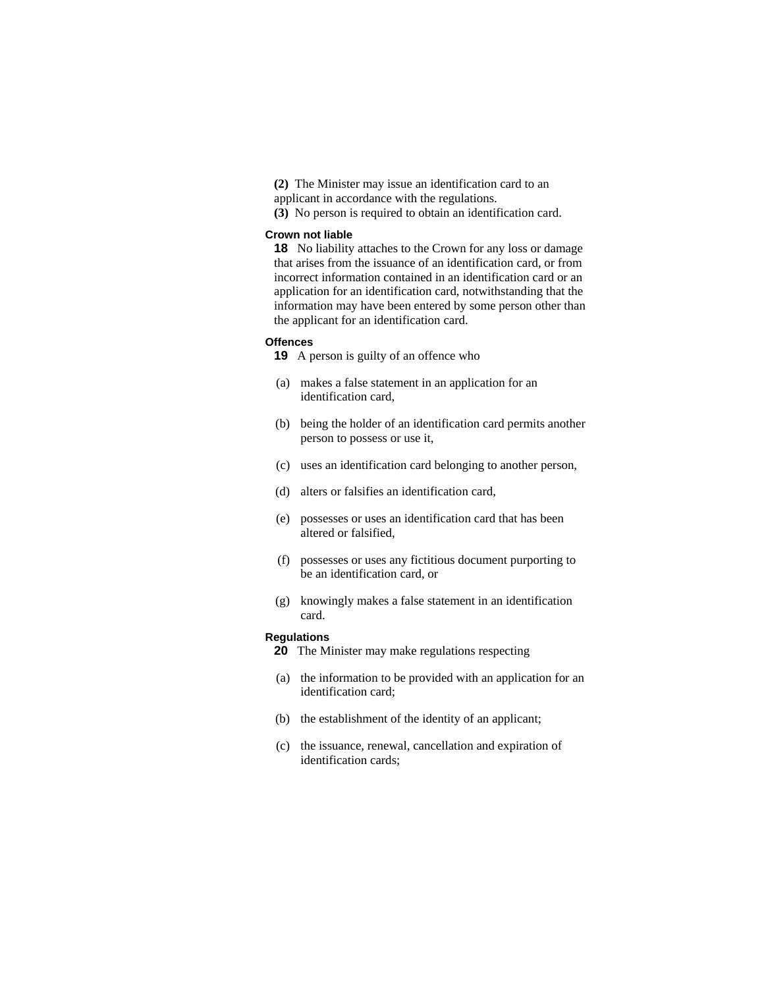- **(2)** The Minister may issue an identification card to an
- applicant in accordance with the regulations.
- **(3)** No person is required to obtain an identification card.

#### **Crown not liable**

**18** No liability attaches to the Crown for any loss or damage that arises from the issuance of an identification card, or from incorrect information contained in an identification card or an application for an identification card, notwithstanding that the information may have been entered by some person other than the applicant for an identification card.

#### **Offences**

**19** A person is guilty of an offence who

- (a) makes a false statement in an application for an identification card,
- (b) being the holder of an identification card permits another person to possess or use it,
- (c) uses an identification card belonging to another person,
- (d) alters or falsifies an identification card,
- (e) possesses or uses an identification card that has been altered or falsified,
- (f) possesses or uses any fictitious document purporting to be an identification card, or
- (g) knowingly makes a false statement in an identification card.

#### **Regulations**

- **20** The Minister may make regulations respecting
- (a) the information to be provided with an application for an identification card;
- (b) the establishment of the identity of an applicant;
- (c) the issuance, renewal, cancellation and expiration of identification cards;